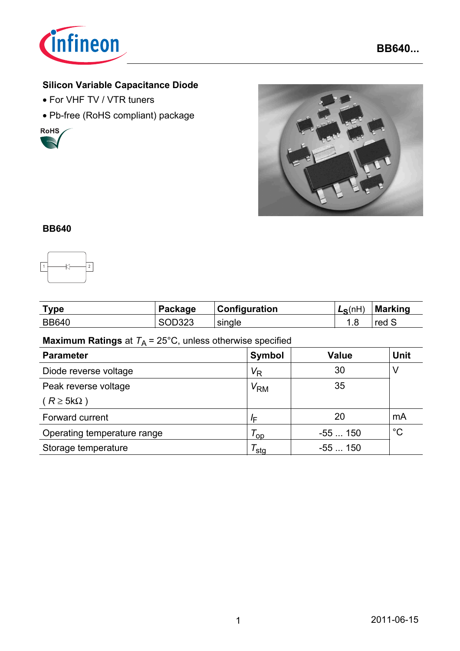

## **Silicon Variable Capacitance Diode**

- For VHF TV / VTR tuners
- Pb-free (RoHS compliant) package





### **BB640**



| <b>Type</b>  | Package | Configuration | $L_{\rm S}(nH)$ | <b>Marking</b> |
|--------------|---------|---------------|-----------------|----------------|
| <b>BB640</b> | SOD323  | single        | I .O            | red S          |

### **Maximum Ratings** at  $T_A = 25^{\circ}$ C, unless otherwise specified

| <b>Parameter</b>            | <b>Symbol</b>    | <b>Value</b> | <b>Unit</b> |
|-----------------------------|------------------|--------------|-------------|
| Diode reverse voltage       | $V_{\mathsf{R}}$ | 30           | V           |
| Peak reverse voltage        | V <sub>RM</sub>  | 35           |             |
| $(R \geq 5k\Omega)$         |                  |              |             |
| Forward current             | ΙF               | 20           | mA          |
| Operating temperature range | 'op              | $-55150$     | $^{\circ}C$ |
| Storage temperature         | ′stg             | $-55150$     |             |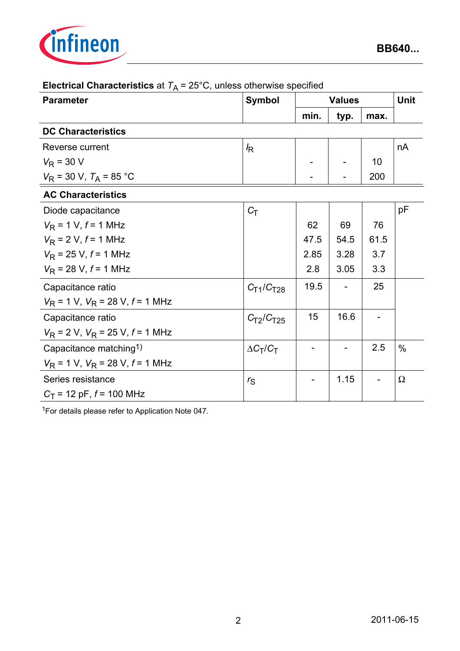

| <b>Parameter</b>                       | <b>Symbol</b><br><b>Values</b> |      |      | <b>Unit</b> |          |
|----------------------------------------|--------------------------------|------|------|-------------|----------|
|                                        |                                | min. | typ. | max.        |          |
| <b>DC Characteristics</b>              |                                |      |      |             |          |
| Reverse current                        | $\sqrt{R}$                     |      |      |             | nA       |
| $V_{\rm R}$ = 30 V                     |                                |      |      | 10          |          |
| $V_R$ = 30 V, $T_A$ = 85 °C            |                                |      |      | 200         |          |
| <b>AC Characteristics</b>              |                                |      |      |             |          |
| Diode capacitance                      | $C_T$                          |      |      |             | pF       |
| $V_{\rm R}$ = 1 V, $f$ = 1 MHz         |                                | 62   | 69   | 76          |          |
| $V_{\rm R}$ = 2 V, $f$ = 1 MHz         |                                | 47.5 | 54.5 | 61.5        |          |
| $V_R$ = 25 V, $f$ = 1 MHz              |                                | 2.85 | 3.28 | 3.7         |          |
| $V_R$ = 28 V, $f$ = 1 MHz              |                                | 2.8  | 3.05 | 3.3         |          |
| Capacitance ratio                      | $C_{T1}/C_{T28}$               | 19.5 |      | 25          |          |
| $V_R$ = 1 V, $V_R$ = 28 V, $f$ = 1 MHz |                                |      |      |             |          |
| Capacitance ratio                      | $C_{T2}/C_{T25}$               | 15   | 16.6 |             |          |
| $V_R$ = 2 V, $V_R$ = 25 V, $f$ = 1 MHz |                                |      |      |             |          |
| Capacitance matching <sup>1)</sup>     | $\Delta C_T/C_T$               |      |      | 2.5         | $\%$     |
| $V_R$ = 1 V, $V_R$ = 28 V, $f$ = 1 MHz |                                |      |      |             |          |
| Series resistance                      | $r_{\rm S}$                    |      | 1.15 |             | $\Omega$ |
| $C_T$ = 12 pF, $f$ = 100 MHz           |                                |      |      |             |          |

# **Electrical Characteristics** at  $T_A = 25^\circ \text{C}$ , unless otherwise specified

1For details please refer to Application Note 047.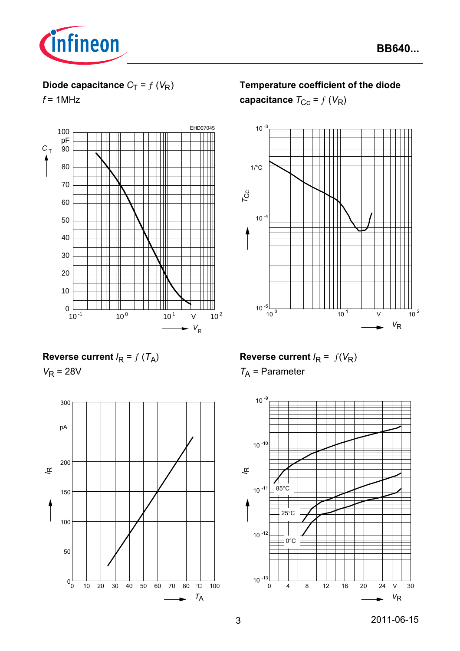

**BB640...**

# **Diode capacitance**  $C_T = f(V_R)$

 $f = 1$ MHz



**Temperature coefficient of the diode** 

**capacitance**  $T_{\text{Cc}} = f(V_R)$ 



**Reverse current**  $I_R = f(T_A)$ 

 $V_R = 28V$ 



**Reverse current**  $I_R = f(V_R)$ 

*T*A = Parameter

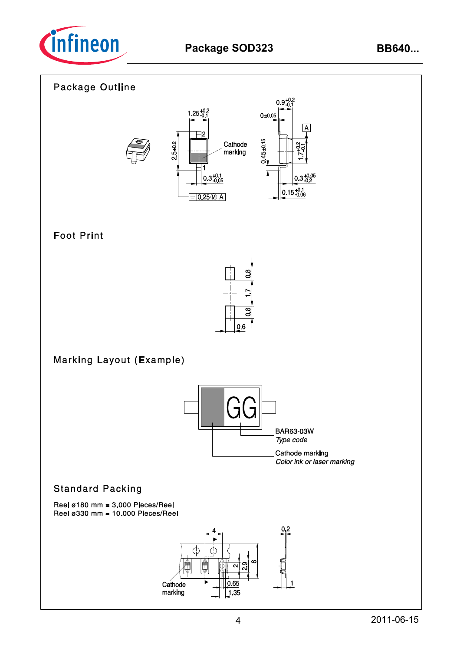